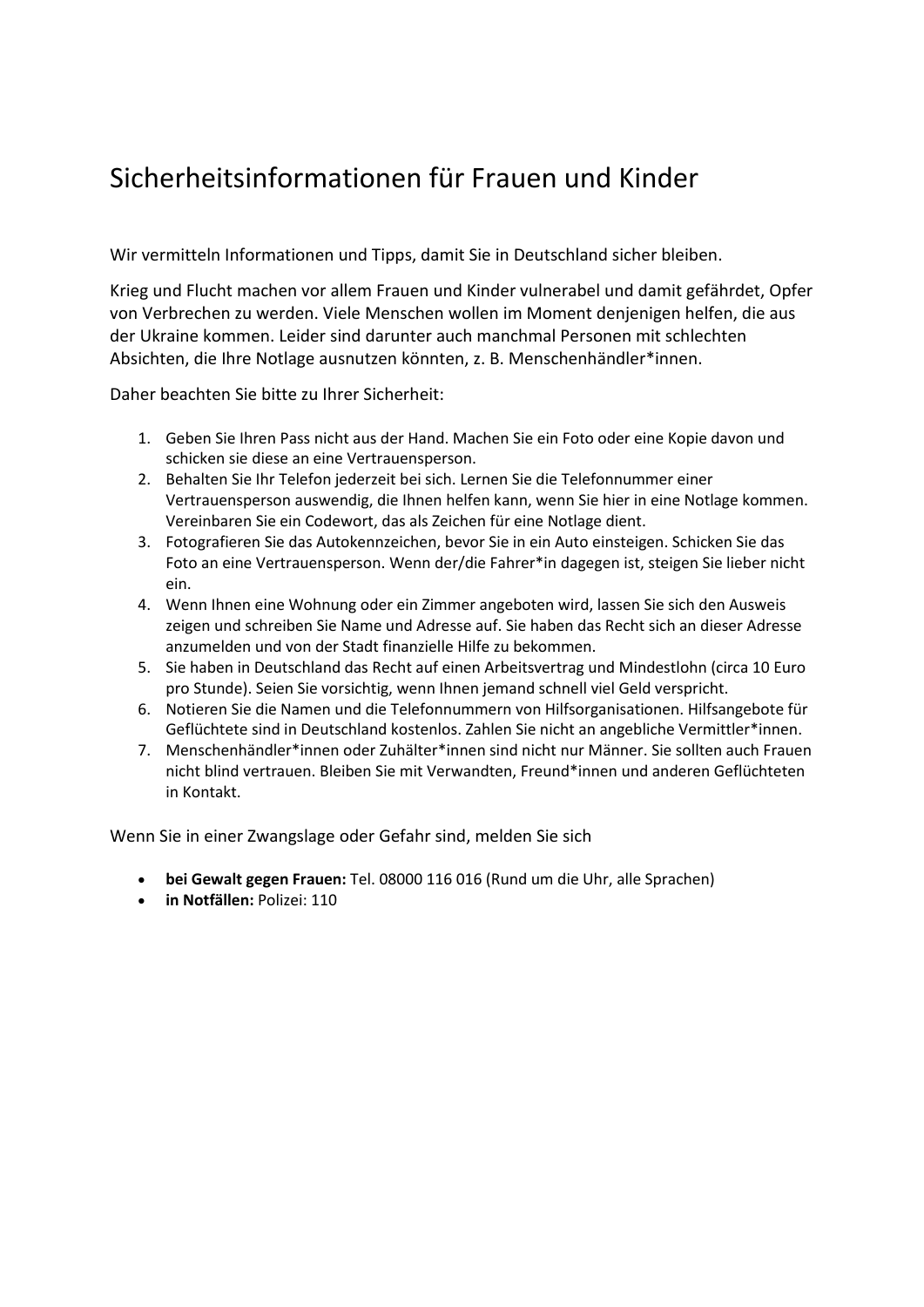## Sicherheitsinformationen für Frauen und Kinder

Wir vermitteln Informationen und Tipps, damit Sie in Deutschland sicher bleiben.

Krieg und Flucht machen vor allem Frauen und Kinder vulnerabel und damit gefährdet, Opfer von Verbrechen zu werden. Viele Menschen wollen im Moment denjenigen helfen, die aus der Ukraine kommen. Leider sind darunter auch manchmal Personen mit schlechten Absichten, die Ihre Notlage ausnutzen könnten, z. B. Menschenhändler\*innen.

Daher beachten Sie bitte zu Ihrer Sicherheit:

- 1. Geben Sie Ihren Pass nicht aus der Hand. Machen Sie ein Foto oder eine Kopie davon und schicken sie diese an eine Vertrauensperson.
- 2. Behalten Sie Ihr Telefon jederzeit bei sich. Lernen Sie die Telefonnummer einer Vertrauensperson auswendig, die Ihnen helfen kann, wenn Sie hier in eine Notlage kommen. Vereinbaren Sie ein Codewort, das als Zeichen für eine Notlage dient.
- 3. Fotografieren Sie das Autokennzeichen, bevor Sie in ein Auto einsteigen. Schicken Sie das Foto an eine Vertrauensperson. Wenn der/die Fahrer\*in dagegen ist, steigen Sie lieber nicht ein.
- 4. Wenn Ihnen eine Wohnung oder ein Zimmer angeboten wird, lassen Sie sich den Ausweis zeigen und schreiben Sie Name und Adresse auf. Sie haben das Recht sich an dieser Adresse anzumelden und von der Stadt finanzielle Hilfe zu bekommen.
- 5. Sie haben in Deutschland das Recht auf einen Arbeitsvertrag und Mindestlohn (circa 10 Euro pro Stunde). Seien Sie vorsichtig, wenn Ihnen jemand schnell viel Geld verspricht.
- 6. Notieren Sie die Namen und die Telefonnummern von Hilfsorganisationen. Hilfsangebote für Geflüchtete sind in Deutschland kostenlos. Zahlen Sie nicht an angebliche Vermittler\*innen.
- 7. Menschenhändler\*innen oder Zuhälter\*innen sind nicht nur Männer. Sie sollten auch Frauen nicht blind vertrauen. Bleiben Sie mit Verwandten, Freund\*innen und anderen Geflüchteten in Kontakt.

Wenn Sie in einer Zwangslage oder Gefahr sind, melden Sie sich

- **bei Gewalt gegen Frauen:** Tel. 08000 116 016 (Rund um die Uhr, alle Sprachen)
- **in Notfällen:** Polizei: 110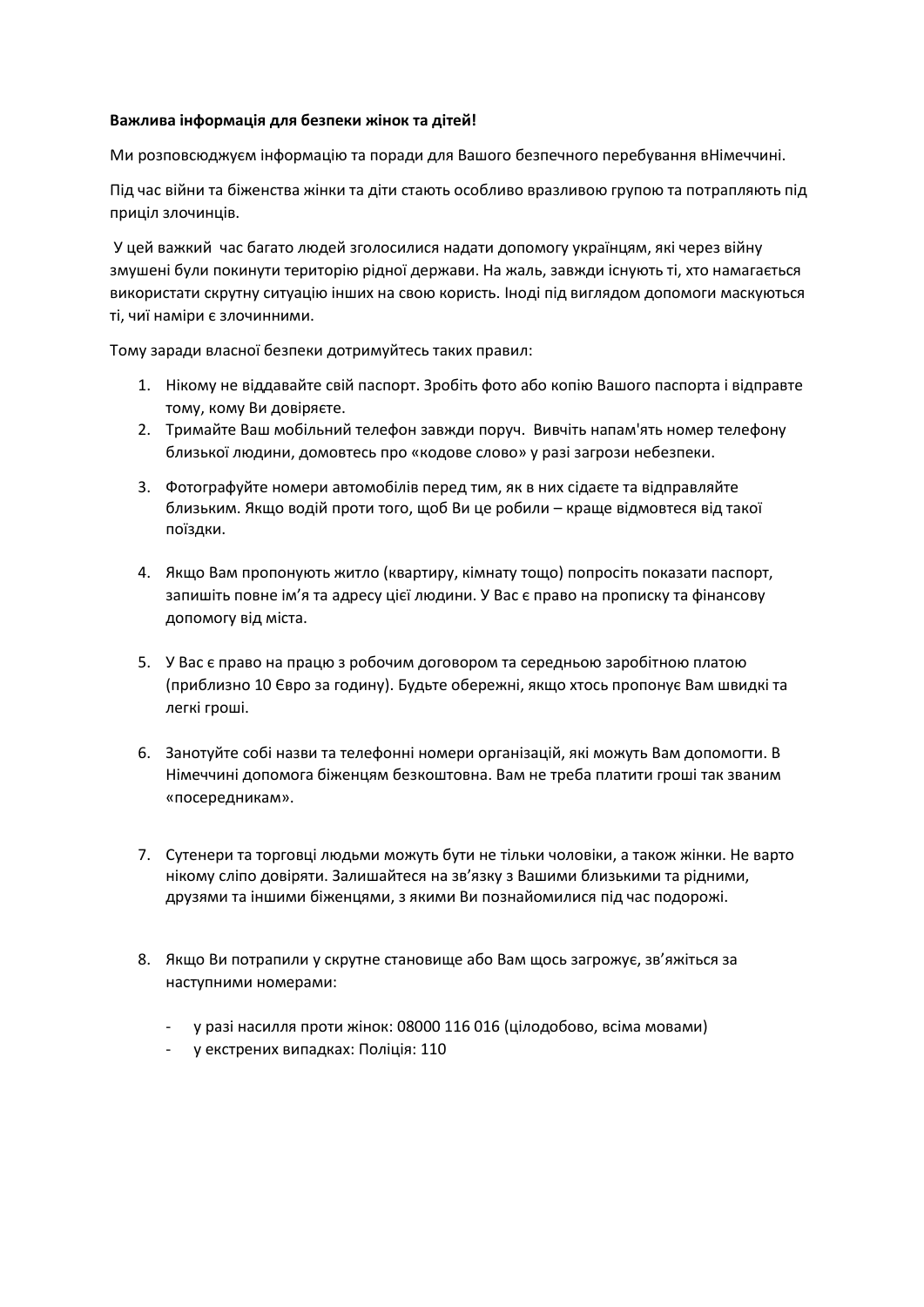## **Важлива інформація для безпеки жінок та дітей!**

Ми розповсюджуєм інформацію та поради для Вашого безпечного перебування вНімеччині.

Під час війни та біженства жінки та діти стають особливо вразливою групою та потрапляють під приціл злочинців.

У цей важкий час багато людей зголосилися надати допомогу українцям, які через війну змушені були покинути територію рідної держави. На жаль, завжди існують ті, хто намагається використати скрутну ситуацію інших на свою користь. Іноді під виглядом допомоги маскуються ті, чиї наміри є злочинними.

Тому заради власної безпеки дотримуйтесь таких правил:

- 1. Нікому не віддавайте свій паспорт. Зробіть фото або копію Вашого паспорта і відправте тому, кому Ви довіряєте.
- 2. Тримайте Ваш мобільний телефон завжди поруч. Вивчіть напам'ять номер телефону близької людини, домовтесь про «кодове слово» у разі загрози небезпеки.
- 3. Фотографуйте номери автомобілів перед тим, як в них сідаєте та відправляйте близьким. Якщо водій проти того, щоб Ви це робили – краще відмовтеся від такої поїздки.
- 4. Якщо Вам пропонують житло (квартиру, кімнату тощо) попросіть показати паспорт, запишіть повне ім'я та адресу цієї людини. У Вас є право на прописку та фінансову допомогу від міста.
- 5. У Вас є право на працю з робочим договором та середньою заробітною платою (приблизно 10 Євро за годину). Будьте обережні, якщо хтось пропонує Вам швидкі та легкі гроші.
- 6. Занотуйте собі назви та телефонні номери організацій, які можуть Вам допомогти. В Німеччині допомога біженцям безкоштовна. Вам не треба платити гроші так званим «посередникам».
- 7. Сутенери та торговці людьми можуть бути не тільки чоловіки, а також жінки. Не варто нікому сліпо довіряти. Залишайтеся на зв'язку з Вашими близькими та рідними, друзями та іншими біженцями, з якими Ви познайомилися під час подорожі.
- 8. Якщо Ви потрапили у скрутне становище або Вам щось загрожує, зв'яжіться за наступними номерами:
	- у разі насилля проти жінок: 08000 116 016 (цілодобово, всіма мовами)
	- у екстрених випадках: Поліція: 110